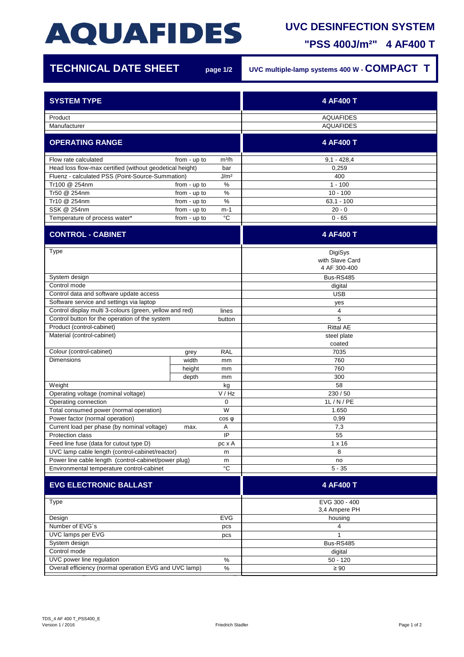# **AQUAFIDES**

### **UVC DESINFECTION SYSTEM**

**"PSS 400J/m²" 4 AF400 T**

| <b>TECHNICAL DATE SHEET</b>                                                                                                 |              | page 1/2              | UVC multiple-lamp systems 400 W - COMPACT T |
|-----------------------------------------------------------------------------------------------------------------------------|--------------|-----------------------|---------------------------------------------|
| <b>SYSTEM TYPE</b>                                                                                                          |              |                       | 4 AF400 T                                   |
| Product                                                                                                                     |              |                       | <b>AQUAFIDES</b>                            |
| Manufacturer                                                                                                                |              |                       | <b>AQUAFIDES</b>                            |
| <b>OPERATING RANGE</b>                                                                                                      |              |                       | 4 AF400 T                                   |
| Flow rate calculated                                                                                                        | from - up to | m <sup>3</sup> /h     | $9,1 - 428,4$                               |
| Head loss flow-max certified (without geodetical height)<br>bar                                                             |              |                       | 0,259                                       |
| J/m <sup>2</sup><br>Fluenz - calculated PSS (Point-Source-Summation)                                                        |              |                       | 400                                         |
| Tr100 @ 254nm                                                                                                               | from - up to | $\%$                  | $1 - 100$                                   |
| Tr50 @ 254nm                                                                                                                | from - up to | %                     | $10 - 100$                                  |
| Tr10 @ 254nm                                                                                                                | from - up to | $\%$                  | $63,1 - 100$                                |
| SSK @ 254nm                                                                                                                 | from - up to | $m-1$<br>°C           | $20 - 0$                                    |
| Temperature of process water*                                                                                               | from - up to |                       | $0 - 65$                                    |
| <b>CONTROL - CABINET</b>                                                                                                    |              |                       | 4 AF400 T                                   |
| Type                                                                                                                        |              |                       | DigiSys<br>with Slave Card<br>4 AF 300-400  |
| System design                                                                                                               |              |                       | Bus-RS485                                   |
| Control mode                                                                                                                |              |                       | digital                                     |
| Control data and software update access                                                                                     |              |                       | <b>USB</b>                                  |
| Software service and settings via laptop                                                                                    |              |                       | yes                                         |
| Control display multi 3-colours (green, yellow and red)                                                                     |              | lines                 | 4                                           |
| Control button for the operation of the system                                                                              |              | button                | 5                                           |
| Product (control-cabinet)                                                                                                   |              |                       | <b>Rittal AE</b>                            |
| Material (control-cabinet)                                                                                                  |              | steel plate<br>coated |                                             |
| Colour (control-cabinet)                                                                                                    | grey         | <b>RAL</b>            | 7035                                        |
| <b>Dimensions</b>                                                                                                           | width        | mm                    | 760                                         |
|                                                                                                                             | height       | mm                    | 760                                         |
|                                                                                                                             | depth        | mm                    | 300                                         |
| Weight                                                                                                                      |              | kg                    | 58                                          |
| Operating voltage (nominal voltage)                                                                                         |              | V/Hz                  | 230 / 50                                    |
| Operating connection                                                                                                        |              | 0                     | 1L/N/PE                                     |
| Total consumed power (normal operation)                                                                                     |              | W                     | 1.650                                       |
| Power factor (normal operation)<br>$cos \phi$                                                                               |              |                       | 0,99                                        |
| Current load per phase (by nominal voltage)                                                                                 | max.         | Α                     | 7,3                                         |
| Protection class                                                                                                            |              | IP                    | 55                                          |
| Feed line fuse (data for cutout type D)<br>pc x A                                                                           |              |                       | $1 \times 16$<br>8                          |
| UVC lamp cable length (control-cabinet/reactor)<br>m                                                                        |              |                       | no                                          |
| Power line cable length (control-cabinet/power plug)<br>m<br>$^{\circ}{\rm C}$<br>Environmental temperature control-cabinet |              | $5 - 35$              |                                             |
| <b>EVG ELECTRONIC BALLAST</b>                                                                                               |              |                       | 4 AF400 T                                   |
|                                                                                                                             |              |                       |                                             |
| Type                                                                                                                        |              |                       | EVG 300 - 400<br>3,4 Ampere PH              |
| Design<br><b>EVG</b>                                                                                                        |              |                       | housing                                     |
| Number of EVG's<br>pcs                                                                                                      |              |                       | 4                                           |
| UVC lamps per EVG<br>pcs                                                                                                    |              |                       | 1                                           |
| System design                                                                                                               |              |                       | <b>Bus-RS485</b>                            |
| Control mode                                                                                                                |              |                       | digital                                     |
| UVC power line regulation<br>$\%$                                                                                           |              |                       | $50 - 120$                                  |
| Overall efficiency (normal operation EVG and UVC lamp)<br>$\%$                                                              |              |                       | $\geq 90$                                   |